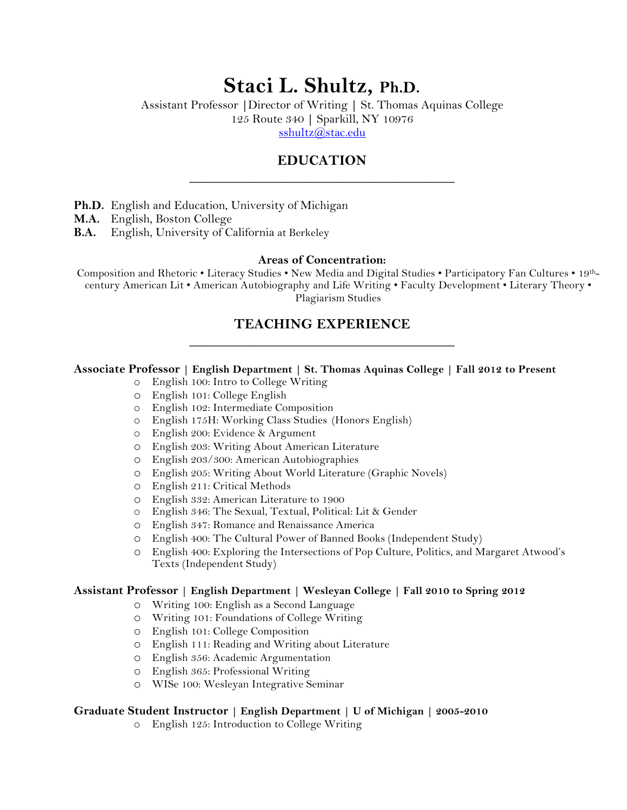# **Staci L. Shultz, Ph.D.**

Assistant Professor **|**Director of Writing **|** St. Thomas Aquinas College 125 Route 340 **|** Sparkill, NY 10976

sshultz@stac.edu

## **EDUCATION \_\_\_\_\_\_\_\_\_\_\_\_\_\_\_\_\_\_\_\_\_\_\_\_\_\_\_\_\_\_\_\_\_\_\_\_\_**

- **Ph.D.** English and Education, University of Michigan
- **M.A.** English, Boston College
- **B.A.** English, University of California at Berkeley

#### **Areas of Concentration:**

Composition and Rhetoric • Literacy Studies • New Media and Digital Studies • Participatory Fan Cultures • 19thcentury American Lit • American Autobiography and Life Writing • Faculty Development • Literary Theory • Plagiarism Studies

## **TEACHING EXPERIENCE \_\_\_\_\_\_\_\_\_\_\_\_\_\_\_\_\_\_\_\_\_\_\_\_\_\_\_\_\_\_\_\_\_\_\_\_\_**

#### **Associate Professor | English Department | St. Thomas Aquinas College | Fall 2012 to Present**

- o English 100: Intro to College Writing
- o English 101: College English
- o English 102: Intermediate Composition
- o English 175H: Working Class Studies (Honors English)
- o English 200: Evidence & Argument
- o English 203: Writing About American Literature
- o English 203/300: American Autobiographies
- o English 205: Writing About World Literature (Graphic Novels)
- o English 211: Critical Methods
- o English 332: American Literature to 1900
- o English 346: The Sexual, Textual, Political: Lit & Gender
- o English 347: Romance and Renaissance America
- o English 400: The Cultural Power of Banned Books (Independent Study)
- o English 400: Exploring the Intersections of Pop Culture, Politics, and Margaret Atwood's Texts (Independent Study)

#### **Assistant Professor | English Department | Wesleyan College | Fall 2010 to Spring 2012**

- o Writing 100: English as a Second Language
- o Writing 101: Foundations of College Writing
- o English 101: College Composition
- o English 111: Reading and Writing about Literature
- o English 356: Academic Argumentation
- o English 365: Professional Writing
- o WISe 100: Wesleyan Integrative Seminar

#### **Graduate Student Instructor | English Department | U of Michigan | 2005-2010**

o English 125: Introduction to College Writing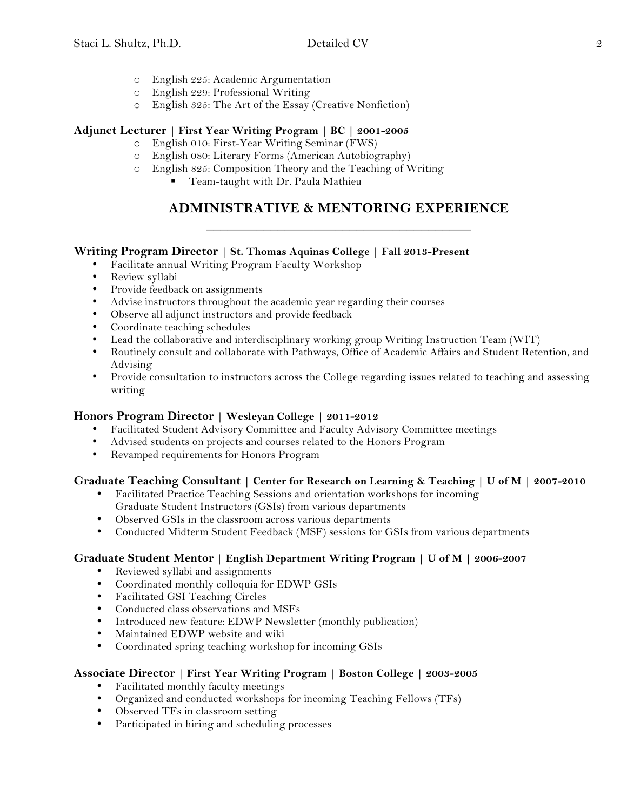- o English 225: Academic Argumentation
- o English 229: Professional Writing
- o English 325: The Art of the Essay (Creative Nonfiction)

### **Adjunct Lecturer | First Year Writing Program | BC | 2001-2005**

- o English 010: First-Year Writing Seminar (FWS)
- o English 080: Literary Forms (American Autobiography)
- o English 825: Composition Theory and the Teaching of Writing
	- Team-taught with Dr. Paula Mathieu

## **ADMINISTRATIVE & MENTORING EXPERIENCE \_\_\_\_\_\_\_\_\_\_\_\_\_\_\_\_\_\_\_\_\_\_\_\_\_\_\_\_\_\_\_\_\_\_\_\_\_**

### **Writing Program Director | St. Thomas Aquinas College | Fall 2013-Present**

- Facilitate annual Writing Program Faculty Workshop
- Review syllabi
- Provide feedback on assignments
- Advise instructors throughout the academic year regarding their courses
- Observe all adjunct instructors and provide feedback
- Coordinate teaching schedules
- Lead the collaborative and interdisciplinary working group Writing Instruction Team (WIT)
- Routinely consult and collaborate with Pathways, Office of Academic Affairs and Student Retention, and Advising
- Provide consultation to instructors across the College regarding issues related to teaching and assessing writing

### **Honors Program Director | Wesleyan College | 2011-2012**

- Facilitated Student Advisory Committee and Faculty Advisory Committee meetings
- Advised students on projects and courses related to the Honors Program
- Revamped requirements for Honors Program

### **Graduate Teaching Consultant | Center for Research on Learning & Teaching | U of M | 2007-2010**

- Facilitated Practice Teaching Sessions and orientation workshops for incoming Graduate Student Instructors (GSIs) from various departments
- Observed GSIs in the classroom across various departments
- Conducted Midterm Student Feedback (MSF) sessions for GSIs from various departments

#### **Graduate Student Mentor | English Department Writing Program | U of M | 2006-2007**

- Reviewed syllabi and assignments
- Coordinated monthly colloquia for EDWP GSIs<br>• Facilitated GSI Teaching Circles
- Facilitated GSI Teaching Circles
- Conducted class observations and MSFs
- Introduced new feature: EDWP Newsletter (monthly publication)<br>• Maintained EDWP website and wiki
- Maintained EDWP website and wiki
- Coordinated spring teaching workshop for incoming GSIs

#### **Associate Director | First Year Writing Program | Boston College | 2003-2005**

- Facilitated monthly faculty meetings
- Organized and conducted workshops for incoming Teaching Fellows (TFs)
- Observed TFs in classroom setting
- Participated in hiring and scheduling processes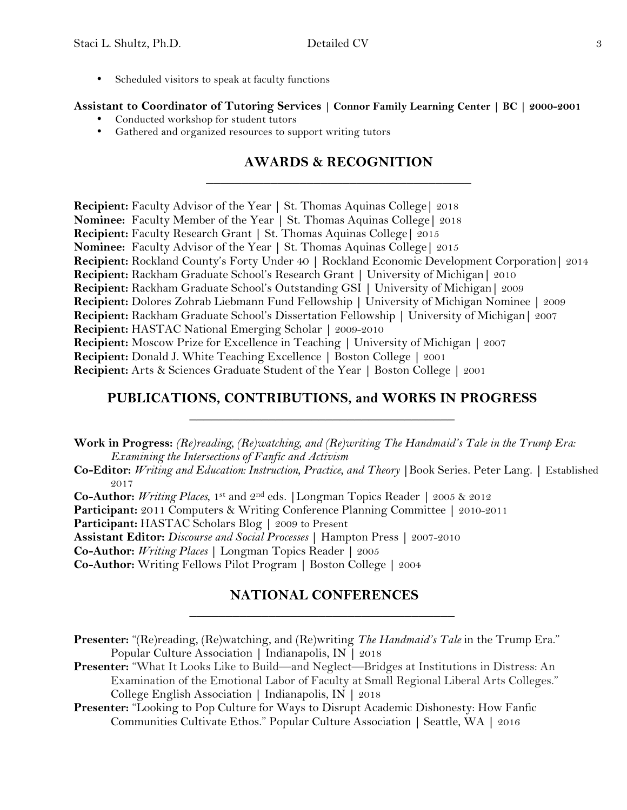• Scheduled visitors to speak at faculty functions

### **Assistant to Coordinator of Tutoring Services | Connor Family Learning Center | BC | 2000-2001**

- Conducted workshop for student tutors
- Gathered and organized resources to support writing tutors

## **AWARDS & RECOGNITION \_\_\_\_\_\_\_\_\_\_\_\_\_\_\_\_\_\_\_\_\_\_\_\_\_\_\_\_\_\_\_\_\_\_\_\_\_**

**Recipient:** Faculty Advisor of the Year **|** St. Thomas Aquinas College**|** 2018 **Nominee:** Faculty Member of the Year **|** St. Thomas Aquinas College**|** 2018 **Recipient:** Faculty Research Grant **|** St. Thomas Aquinas College**|** 2015 **Nominee:** Faculty Advisor of the Year **|** St. Thomas Aquinas College**|** 2015 **Recipient:** Rockland County's Forty Under 40 **|** Rockland Economic Development Corporation**|** 2014 **Recipient:** Rackham Graduate School's Research Grant **|** University of Michigan**|** 2010 **Recipient:** Rackham Graduate School's Outstanding GSI **|** University of Michigan**|** 2009 **Recipient:** Dolores Zohrab Liebmann Fund Fellowship **|** University of Michigan Nominee **|** 2009 **Recipient:** Rackham Graduate School's Dissertation Fellowship **|** University of Michigan**|** 2007 **Recipient:** HASTAC National Emerging Scholar **|** 2009-2010 **Recipient:** Moscow Prize for Excellence in Teaching **|** University of Michigan **|** 2007 **Recipient:** Donald J. White Teaching Excellence **|** Boston College **|** 2001 **Recipient:** Arts & Sciences Graduate Student of the Year **|** Boston College **|** 2001

## **PUBLICATIONS, CONTRIBUTIONS, and WORKS IN PROGRESS \_\_\_\_\_\_\_\_\_\_\_\_\_\_\_\_\_\_\_\_\_\_\_\_\_\_\_\_\_\_\_\_\_\_\_\_\_**

**Work in Progress:** *(Re)reading, (Re)watching, and (Re)writing The Handmaid's Tale in the Trump Era: Examining the Intersections of Fanfic and Activism*

- **Co-Editor:** *Writing and Education: Instruction, Practice, and Theory* **|**Book Series. Peter Lang. **|** Established 2017
- **Co-Author:** *Writing Places*, 1st and 2nd eds. **|**Longman Topics Reader **|** 2005 & 2012
- **Participant:** 2011 Computers & Writing Conference Planning Committee **|** 2010-2011
- **Participant:** HASTAC Scholars Blog **|** 2009 to Present
- **Assistant Editor:** *Discourse and Social Processes* **|** Hampton Press **|** 2007-2010
- **Co-Author:** *Writing Places* **|** Longman Topics Reader **|** 2005
- **Co-Author:** Writing Fellows Pilot Program **|** Boston College **|** 2004

## **NATIONAL CONFERENCES \_\_\_\_\_\_\_\_\_\_\_\_\_\_\_\_\_\_\_\_\_\_\_\_\_\_\_\_\_\_\_\_\_\_\_\_\_**

- **Presenter:** "(Re)reading, (Re)watching, and (Re)writing *The Handmaid's Tale* in the Trump Era." Popular Culture Association **|** Indianapolis, IN **|** 2018
- **Presenter:** "What It Looks Like to Build—and Neglect—Bridges at Institutions in Distress: An Examination of the Emotional Labor of Faculty at Small Regional Liberal Arts Colleges." College English Association **|** Indianapolis, IN **|** 2018
- Presenter: "Looking to Pop Culture for Ways to Disrupt Academic Dishonesty: How Fanfic Communities Cultivate Ethos." Popular Culture Association **|** Seattle, WA **|** 2016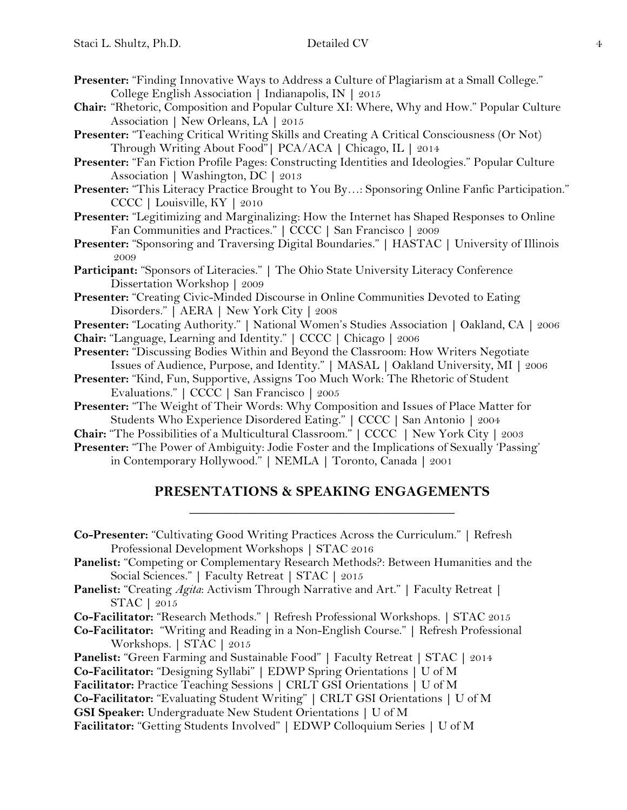- **Presenter:** "Finding Innovative Ways to Address a Culture of Plagiarism at a Small College." College English Association **|** Indianapolis, IN **|** 2015
- **Chair:** "Rhetoric, Composition and Popular Culture XI: Where, Why and How." Popular Culture Association **|** New Orleans, LA **|** 2015
- **Presenter:** "Teaching Critical Writing Skills and Creating A Critical Consciousness (Or Not) Through Writing About Food"**|** PCA/ACA **|** Chicago, IL **|** 2014
- **Presenter:** "Fan Fiction Profile Pages: Constructing Identities and Ideologies." Popular Culture Association **|** Washington, DC **|** 2013
- Presenter: "This Literacy Practice Brought to You By...: Sponsoring Online Fanfic Participation." CCCC **|** Louisville, KY **|** 2010
- **Presenter:** "Legitimizing and Marginalizing: How the Internet has Shaped Responses to Online Fan Communities and Practices." **|** CCCC **|** San Francisco **|** 2009
- **Presenter:** "Sponsoring and Traversing Digital Boundaries." **|** HASTAC **|** University of Illinois 2009
- **Participant:** "Sponsors of Literacies." **|** The Ohio State University Literacy Conference Dissertation Workshop **|** 2009
- **Presenter:** "Creating Civic-Minded Discourse in Online Communities Devoted to Eating Disorders." **|** AERA **|** New York City **|** 2008
- **Presenter:** "Locating Authority." **|** National Women's Studies Association **|** Oakland, CA **|** 2006
- **Chair:** "Language, Learning and Identity." **|** CCCC **|** Chicago **|** 2006
- **Presenter:** "Discussing Bodies Within and Beyond the Classroom: How Writers Negotiate Issues of Audience, Purpose, and Identity." **|** MASAL **|** Oakland University, MI **|** 2006
- **Presenter:** "Kind, Fun, Supportive, Assigns Too Much Work: The Rhetoric of Student Evaluations." **|** CCCC **|** San Francisco **|** 2005
- **Presenter:** "The Weight of Their Words: Why Composition and Issues of Place Matter for Students Who Experience Disordered Eating." **|** CCCC **|** San Antonio **|** 2004
- **Chair:** "The Possibilities of a Multicultural Classroom." **|** CCCC **|** New York City **|** 2003
- **Presenter:** "The Power of Ambiguity: Jodie Foster and the Implications of Sexually 'Passing' in Contemporary Hollywood." **|** NEMLA **|** Toronto, Canada **|** 2001

## **PRESENTATIONS & SPEAKING ENGAGEMENTS \_\_\_\_\_\_\_\_\_\_\_\_\_\_\_\_\_\_\_\_\_\_\_\_\_\_\_\_\_\_\_\_\_\_\_\_\_**

- **Co-Presenter:** "Cultivating Good Writing Practices Across the Curriculum." **|** Refresh Professional Development Workshops **|** STAC 2016
- **Panelist:** "Competing or Complementary Research Methods?: Between Humanities and the Social Sciences." **|** Faculty Retreat **|** STAC **|** 2015
- **Panelist:** "Creating *Agita*: Activism Through Narrative and Art." **|** Faculty Retreat **|** STAC **|** 2015
- **Co-Facilitator:** "Research Methods." **|** Refresh Professional Workshops. **|** STAC 2015
- **Co-Facilitator:** "Writing and Reading in a Non-English Course." **|** Refresh Professional Workshops. **|** STAC **|** 2015
- **Panelist:** "Green Farming and Sustainable Food" **|** Faculty Retreat **|** STAC **|** 2014
- **Co-Facilitator:** "Designing Syllabi" **|** EDWP Spring Orientations **|** U of M
- **Facilitator:** Practice Teaching Sessions **|** CRLT GSI Orientations **|** U of M
- **Co-Facilitator:** "Evaluating Student Writing" **|** CRLT GSI Orientations **|** U of M
- **GSI Speaker:** Undergraduate New Student Orientations **|** U of M
- **Facilitator:** "Getting Students Involved" **|** EDWP Colloquium Series **|** U of M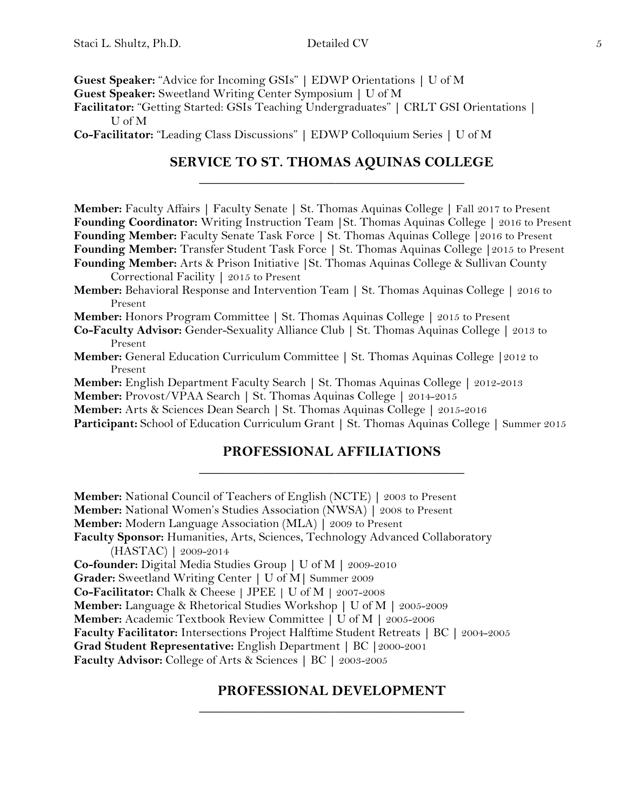**Guest Speaker:** "Advice for Incoming GSIs" **|** EDWP Orientations **|** U of M

**Guest Speaker:** Sweetland Writing Center Symposium **|** U of M

**Facilitator:** "Getting Started: GSIs Teaching Undergraduates" **|** CRLT GSI Orientations **|** U of M

**Co-Facilitator:** "Leading Class Discussions" **|** EDWP Colloquium Series **|** U of M

## **SERVICE TO ST. THOMAS AQUINAS COLLEGE \_\_\_\_\_\_\_\_\_\_\_\_\_\_\_\_\_\_\_\_\_\_\_\_\_\_\_\_\_\_\_\_\_\_\_\_\_**

**Member:** Faculty Affairs **|** Faculty Senate **|** St. Thomas Aquinas College **|** Fall 2017 to Present **Founding Coordinator:** Writing Instruction Team **|**St. Thomas Aquinas College **|** 2016 to Present **Founding Member:** Faculty Senate Task Force **|** St. Thomas Aquinas College **|**2016 to Present **Founding Member:** Transfer Student Task Force **|** St. Thomas Aquinas College **|**2015 to Present **Founding Member:** Arts & Prison Initiative **|**St. Thomas Aquinas College & Sullivan County Correctional Facility **|** 2015 to Present

**Member:** Behavioral Response and Intervention Team **|** St. Thomas Aquinas College **|** 2016 to Present

**Member:** Honors Program Committee **|** St. Thomas Aquinas College **|** 2015 to Present

**Co-Faculty Advisor:** Gender-Sexuality Alliance Club **|** St. Thomas Aquinas College **|** 2013 to Present

**Member:** General Education Curriculum Committee **|** St. Thomas Aquinas College **|**2012 to Present

**Member:** English Department Faculty Search **|** St. Thomas Aquinas College **|** 2012-2013

**Member:** Provost/VPAA Search **|** St. Thomas Aquinas College **|** 2014-2015

**Member:** Arts & Sciences Dean Search **|** St. Thomas Aquinas College **|** 2015-2016

**Participant:** School of Education Curriculum Grant **|** St. Thomas Aquinas College **|** Summer 2015

## **PROFESSIONAL AFFILIATIONS \_\_\_\_\_\_\_\_\_\_\_\_\_\_\_\_\_\_\_\_\_\_\_\_\_\_\_\_\_\_\_\_\_\_\_\_\_**

**Member:** National Council of Teachers of English (NCTE) **|** 2003 to Present **Member:** National Women's Studies Association (NWSA) **|** 2008 to Present **Member:** Modern Language Association (MLA) **|** 2009 to Present **Faculty Sponsor:** Humanities, Arts, Sciences, Technology Advanced Collaboratory (HASTAC) **|** 2009-2014 **Co-founder:** Digital Media Studies Group **|** U of M **|** 2009-2010 **Grader:** Sweetland Writing Center **|** U of M**|** Summer 2009 **Co-Facilitator:** Chalk & Cheese **|** JPEE **|** U of M **|** 2007-2008 **Member:** Language & Rhetorical Studies Workshop **|** U of M **|** 2005-2009 **Member:** Academic Textbook Review Committee **|** U of M **|** 2005-2006 **Faculty Facilitator:** Intersections Project Halftime Student Retreats **|** BC **|** 2004-2005 **Grad Student Representative:** English Department **|** BC **|**2000-2001 **Faculty Advisor:** College of Arts & Sciences **|** BC **|** 2003-2005

## **PROFESSIONAL DEVELOPMENT \_\_\_\_\_\_\_\_\_\_\_\_\_\_\_\_\_\_\_\_\_\_\_\_\_\_\_\_\_\_\_\_\_\_\_\_\_**